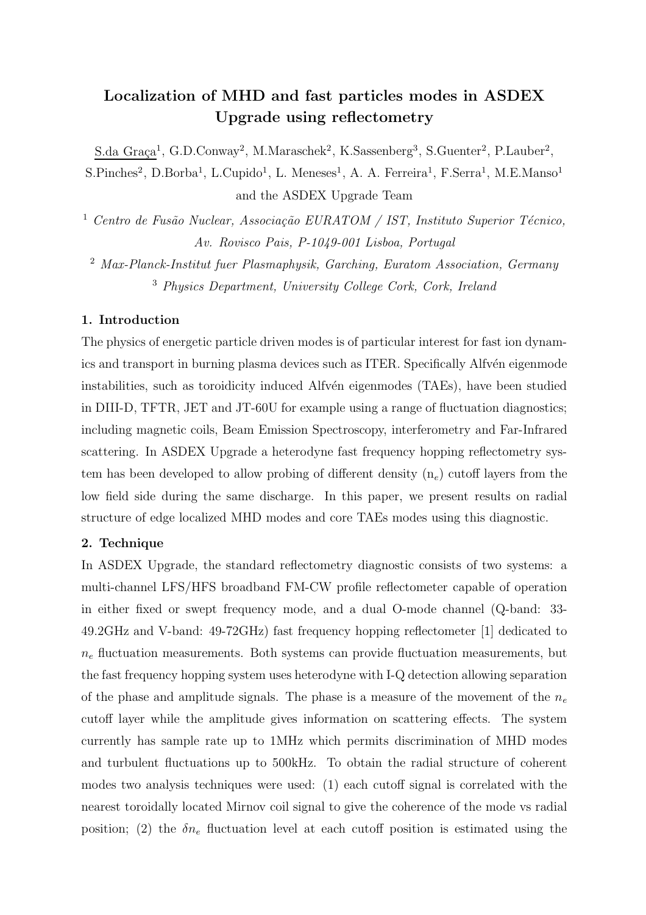# Localization of MHD and fast particles modes in ASDEX Upgrade using reflectometry

S.da Graça<sup>1</sup>, G.D.Conway<sup>2</sup>, M.Maraschek<sup>2</sup>, K.Sassenberg<sup>3</sup>, S.Guenter<sup>2</sup>, P.Lauber<sup>2</sup>,  $S.Pinches<sup>2</sup>, D.Borba<sup>1</sup>, L.Cupido<sup>1</sup>, L. Meneses<sup>1</sup>, A. A. Ferreira<sup>1</sup>, F.Serra<sup>1</sup>, M.E.Manso<sup>1</sup>$ and the ASDEX Upgrade Team

<sup>1</sup> Centro de Fusão Nuclear, Associação EURATOM / IST, Instituto Superior Técnico, Av. Rovisco Pais, P-1049-001 Lisboa, Portugal

<sup>2</sup> Max-Planck-Institut fuer Plasmaphysik, Garching, Euratom Association, Germany <sup>3</sup> Physics Department, University College Cork, Cork, Ireland

### 1. Introduction

The physics of energetic particle driven modes is of particular interest for fast ion dynamics and transport in burning plasma devices such as ITER. Specifically Alfv $\acute{e}$ n eigenmode instabilities, such as toroidicity induced Alfvén eigenmodes (TAEs), have been studied in DIII-D, TFTR, JET and JT-60U for example using a range of fluctuation diagnostics; including magnetic coils, Beam Emission Spectroscopy, interferometry and Far-Infrared scattering. In ASDEX Upgrade a heterodyne fast frequency hopping reflectometry system has been developed to allow probing of different density  $(n_e)$  cutoff layers from the low field side during the same discharge. In this paper, we present results on radial structure of edge localized MHD modes and core TAEs modes using this diagnostic.

## 2. Technique

In ASDEX Upgrade, the standard reflectometry diagnostic consists of two systems: a multi-channel LFS/HFS broadband FM-CW profile reflectometer capable of operation in either fixed or swept frequency mode, and a dual O-mode channel (Q-band: 33- 49.2GHz and V-band: 49-72GHz) fast frequency hopping reflectometer [1] dedicated to  $n_e$  fluctuation measurements. Both systems can provide fluctuation measurements, but the fast frequency hopping system uses heterodyne with I-Q detection allowing separation of the phase and amplitude signals. The phase is a measure of the movement of the  $n_e$ cutoff layer while the amplitude gives information on scattering effects. The system currently has sample rate up to 1MHz which permits discrimination of MHD modes and turbulent fluctuations up to 500kHz. To obtain the radial structure of coherent modes two analysis techniques were used: (1) each cutoff signal is correlated with the nearest toroidally located Mirnov coil signal to give the coherence of the mode vs radial position; (2) the  $\delta n_e$  fluctuation level at each cutoff position is estimated using the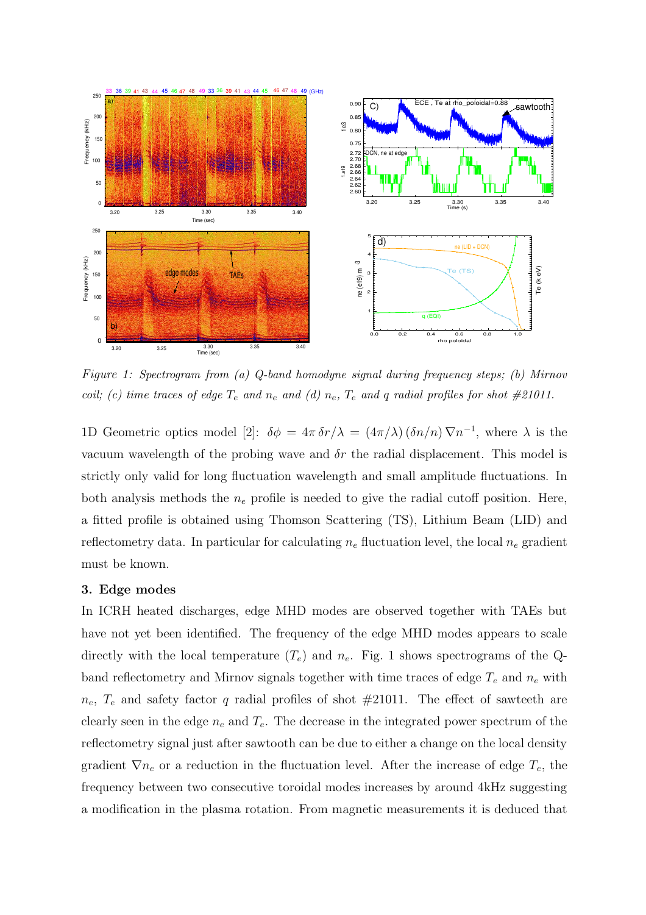

Figure 1: Spectrogram from (a) Q-band homodyne signal during frequency steps; (b) Mirnov coil; (c) time traces of edge  $T_e$  and  $n_e$  and (d)  $n_e$ ,  $T_e$  and q radial profiles for shot #21011.

1D Geometric optics model [2]:  $\delta \phi = 4\pi \delta r/\lambda = (4\pi/\lambda) (\delta n/n) \nabla n^{-1}$ , where  $\lambda$  is the vacuum wavelength of the probing wave and  $\delta r$  the radial displacement. This model is strictly only valid for long fluctuation wavelength and small amplitude fluctuations. In both analysis methods the  $n_e$  profile is needed to give the radial cutoff position. Here, a fitted profile is obtained using Thomson Scattering (TS), Lithium Beam (LID) and reflectometry data. In particular for calculating  $n_e$  fluctuation level, the local  $n_e$  gradient must be known.

#### 3. Edge modes

In ICRH heated discharges, edge MHD modes are observed together with TAEs but have not yet been identified. The frequency of the edge MHD modes appears to scale directly with the local temperature  $(T_e)$  and  $n_e$ . Fig. 1 shows spectrograms of the Qband reflectometry and Mirnov signals together with time traces of edge  $T_e$  and  $n_e$  with  $n_e$ ,  $T_e$  and safety factor q radial profiles of shot  $\#21011$ . The effect of sawteeth are clearly seen in the edge  $n_e$  and  $T_e$ . The decrease in the integrated power spectrum of the reflectometry signal just after sawtooth can be due to either a change on the local density gradient  $\nabla n_e$  or a reduction in the fluctuation level. After the increase of edge  $T_e$ , the frequency between two consecutive toroidal modes increases by around 4kHz suggesting a modification in the plasma rotation. From magnetic measurements it is deduced that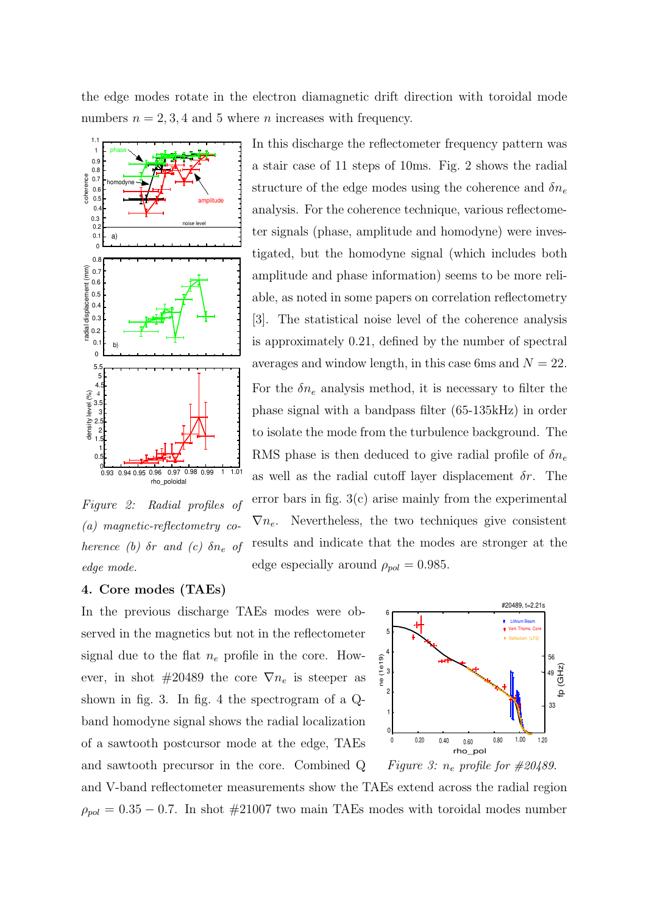the edge modes rotate in the electron diamagnetic drift direction with toroidal mode numbers  $n = 2, 3, 4$  and 5 where *n* increases with frequency.



Figure 2: Radial profiles of (a) magnetic-reflectometry coherence (b)  $\delta r$  and (c)  $\delta n_e$  of edge mode.

In this discharge the reflectometer frequency pattern was a stair case of 11 steps of 10ms. Fig. 2 shows the radial structure of the edge modes using the coherence and  $\delta n_e$ analysis. For the coherence technique, various reflectometer signals (phase, amplitude and homodyne) were investigated, but the homodyne signal (which includes both amplitude and phase information) seems to be more reliable, as noted in some papers on correlation reflectometry [3]. The statistical noise level of the coherence analysis is approximately 0.21, defined by the number of spectral averages and window length, in this case 6ms and  $N = 22$ . For the  $\delta n_e$  analysis method, it is necessary to filter the phase signal with a bandpass filter (65-135kHz) in order to isolate the mode from the turbulence background. The RMS phase is then deduced to give radial profile of  $\delta n_e$ as well as the radial cutoff layer displacement  $\delta r$ . The error bars in fig.  $3(c)$  arise mainly from the experimental  $\nabla n_e$ . Nevertheless, the two techniques give consistent results and indicate that the modes are stronger at the edge especially around  $\rho_{pol} = 0.985$ .

#### 4. Core modes (TAEs)

In the previous discharge TAEs modes were observed in the magnetics but not in the reflectometer signal due to the flat  $n_e$  profile in the core. However, in shot #20489 the core  $\nabla n_e$  is steeper as shown in fig. 3. In fig. 4 the spectrogram of a Qband homodyne signal shows the radial localization of a sawtooth postcursor mode at the edge, TAEs and sawtooth precursor in the core. Combined Q



and V-band reflectometer measurements show the TAEs extend across the radial region  $\rho_{pol} = 0.35 - 0.7$ . In shot #21007 two main TAEs modes with toroidal modes number